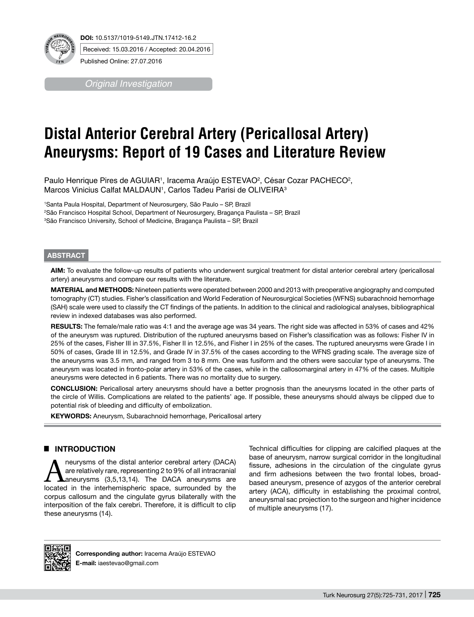

Published Online: 27.07.2016

*Original Investigation*

# **Distal Anterior Cerebral Artery (Pericallosal Artery) Aneurysms: Report of 19 Cases and Literature Review**

Paulo Henrique Pires de AGUIAR1, Iracema Araújo ESTEVAO<sup>2</sup>, César Cozar PACHECO<sup>2</sup>, Marcos Vinicius Calfat MALDAUN1, Carlos Tadeu Parisi de OLIVEIRA $^3$ 

1 Santa Paula Hospital, Department of Neurosurgery, São Paulo – SP, Brazil 2 São Francisco Hospital School, Department of Neurosurgery, Bragança Paulista – SP, Brazil 3 São Francisco University, School of Medicine, Bragança Paulista – SP, Brazil

#### **ABSTRACT**

**AIm:** To evaluate the follow-up results of patients who underwent surgical treatment for distal anterior cerebral artery (pericallosal artery) aneurysms and compare our results with the literature.

**MaterIal and Methods:** Nineteen patients were operated between 2000 and 2013 with preoperative angiography and computed tomography (CT) studies. Fisher's classification and World Federation of Neurosurgical Societies (WFNS) subarachnoid hemorrhage (SAH) scale were used to classify the CT findings of the patients. In addition to the clinical and radiological analyses, bibliographical review in indexed databases was also performed.

**Results:** The female/male ratio was 4:1 and the average age was 34 years. The right side was affected in 53% of cases and 42% of the aneurysm was ruptured. Distribution of the ruptured aneurysms based on Fisher's classification was as follows: Fisher IV in 25% of the cases, Fisher III in 37.5%, Fisher II in 12.5%, and Fisher I in 25% of the cases. The ruptured aneurysms were Grade I in 50% of cases, Grade III in 12.5%, and Grade IV in 37.5% of the cases according to the WFNS grading scale. The average size of the aneurysms was 3.5 mm, and ranged from 3 to 8 mm. One was fusiform and the others were saccular type of aneurysms. The aneurysm was located in fronto-polar artery in 53% of the cases, while in the callosomarginal artery in 47% of the cases. Multiple aneurysms were detected in 6 patients. There was no mortality due to surgery.

**ConclusIon:** Pericallosal artery aneurysms should have a better prognosis than the aneurysms located in the other parts of the circle of Willis. Complications are related to the patients' age. If possible, these aneurysms should always be clipped due to potential risk of bleeding and difficulty of embolization.

**KEYWORDS:** Aneurysm, Subarachnoid hemorrhage, Pericallosal artery

# █ **INTRODUCTION**

**And an Exercise State and Anexious State State State State State State State State State State State State State State State State State State State State State State State State State State State State State State State** are relatively rare, representing 2 to 9% of all intracranial located in the interhemispheric space, surrounded by the corpus callosum and the cingulate gyrus bilaterally with the interposition of the falx cerebri. Therefore, it is difficult to clip these aneurysms (14).

Technical difficulties for clipping are calcified plaques at the base of aneurysm, narrow surgical corridor in the longitudinal fissure, adhesions in the circulation of the cingulate gyrus and firm adhesions between the two frontal lobes, broadbased aneurysm, presence of azygos of the anterior cerebral artery (ACA), difficulty in establishing the proximal control, aneurysmal sac projection to the surgeon and higher incidence of multiple aneurysms (17).



**Corresponding author:** Iracema Araújo ESTEVAO **E-mail:** iaestevao@gmail.com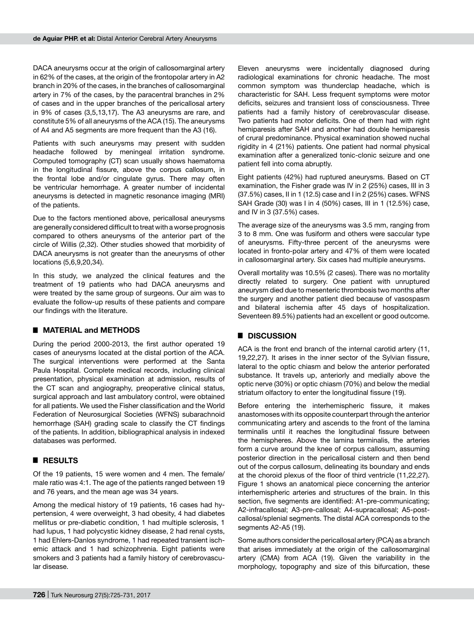DACA aneurysms occur at the origin of callosomarginal artery in 62% of the cases, at the origin of the frontopolar artery in A2 branch in 20% of the cases, in the branches of callosomarginal artery in 7% of the cases, by the paracentral branches in 2% of cases and in the upper branches of the pericallosal artery in 9% of cases (3,5,13,17). The A3 aneurysms are rare, and constitute 5% of all aneurysms of the ACA (15). The aneurysms of A4 and A5 segments are more frequent than the A3 (16).

Patients with such aneurysms may present with sudden headache followed by meningeal irritation syndrome. Computed tomography (CT) scan usually shows haematoma in the longitudinal fissure, above the corpus callosum, in the frontal lobe and/or cingulate gyrus. There may often be ventricular hemorrhage. A greater number of incidental aneurysms is detected in magnetic resonance imaging (MRI) of the patients.

Due to the factors mentioned above, pericallosal aneurysms are generally considered difficult to treat with a worse prognosis compared to others aneurysms of the anterior part of the circle of Willis (2,32). Other studies showed that morbidity of DACA aneurysms is not greater than the aneurysms of other locations (5,6,9,20,34).

In this study, we analyzed the clinical features and the treatment of 19 patients who had DACA aneurysms and were treated by the same group of surgeons. Our aim was to evaluate the follow-up results of these patients and compare our findings with the literature.

### █ **MATERIAL and METHODS**

During the period 2000-2013, the first author operated 19 cases of aneurysms located at the distal portion of the ACA. The surgical interventions were performed at the Santa Paula Hospital. Complete medical records, including clinical presentation, physical examination at admission, results of the CT scan and angiography, preoperative clinical status, surgical approach and last ambulatory control, were obtained for all patients. We used the Fisher classification and the World Federation of Neurosurgical Societies (WFNS) subarachnoid hemorrhage (SAH) grading scale to classify the CT findings of the patients. In addition, bibliographical analysis in indexed databases was performed.

### █ **RESULTS**

Of the 19 patients, 15 were women and 4 men. The female/ male ratio was 4:1. The age of the patients ranged between 19 and 76 years, and the mean age was 34 years.

Among the medical history of 19 patients, 16 cases had hypertension, 4 were overweight, 3 had obesity, 4 had diabetes mellitus or pre-diabetic condition, 1 had multiple sclerosis, 1 had lupus, 1 had polycystic kidney disease, 2 had renal cysts, 1 had Ehlers-Danlos syndrome, 1 had repeated transient ischemic attack and 1 had schizophrenia. Eight patients were smokers and 3 patients had a family history of cerebrovascular disease.

Eleven aneurysms were incidentally diagnosed during radiological examinations for chronic headache. The most common symptom was thunderclap headache, which is characteristic for SAH. Less frequent symptoms were motor deficits, seizures and transient loss of consciousness. Three patients had a family history of cerebrovascular disease. Two patients had motor deficits. One of them had with right hemiparesis after SAH and another had double hemiparesis of crural predominance. Physical examination showed nuchal rigidity in 4 (21%) patients. One patient had normal physical examination after a generalized tonic-clonic seizure and one patient fell into coma abruptly.

Eight patients (42%) had ruptured aneurysms. Based on CT examination, the Fisher grade was IV in 2 (25%) cases, III in 3 (37.5%) cases, II in 1 (12.5) case and I in 2 (25%) cases. WFNS SAH Grade (30) was I in 4 (50%) cases, III in 1 (12.5%) case, and IV in 3 (37.5%) cases.

The average size of the aneurysms was 3.5 mm, ranging from 3 to 8 mm. One was fusiform and others were saccular type of aneurysms. Fifty-three percent of the aneurysms were located in fronto-polar artery and 47% of them were located in callosomarginal artery. Six cases had multiple aneurysms.

Overall mortality was 10.5% (2 cases). There was no mortality directly related to surgery. One patient with unruptured aneurysm died due to mesenteric thrombosis two months after the surgery and another patient died because of vasospasm and bilateral ischemia after 45 days of hospitalization. Seventeen 89.5%) patients had an excellent or good outcome.

# █ **DISCUSSION**

ACA is the front end branch of the internal carotid artery (11, 19,22,27). It arises in the inner sector of the Sylvian fissure, lateral to the optic chiasm and below the anterior perforated substance. It travels up, anteriorly and medially above the optic nerve (30%) or optic chiasm (70%) and below the medial striatum olfactory to enter the longitudinal fissure (19).

Before entering the interhemispheric fissure, it makes anastomoses with its opposite counterpart through the anterior communicating artery and ascends to the front of the lamina terminalis until it reaches the longitudinal fissure between the hemispheres. Above the lamina terminalis, the arteries form a curve around the knee of corpus callosum, assuming posterior direction in the pericallosal cistern and then bend out of the corpus callosum, delineating its boundary and ends at the choroid plexus of the floor of third ventricle (11,22,27). Figure 1 shows an anatomical piece concerning the anterior interhemispheric arteries and structures of the brain. In this section, five segments are identified: A1-pre-communicating; A2-infracallosal; A3-pre-callosal; A4-supracallosal; A5-postcallosal/splenial segments. The distal ACA corresponds to the segments A2-A5 (19).

Some authors consider the pericallosal artery (PCA) as a branch that arises immediately at the origin of the callosomarginal artery (CMA) from ACA (19). Given the variability in the morphology, topography and size of this bifurcation, these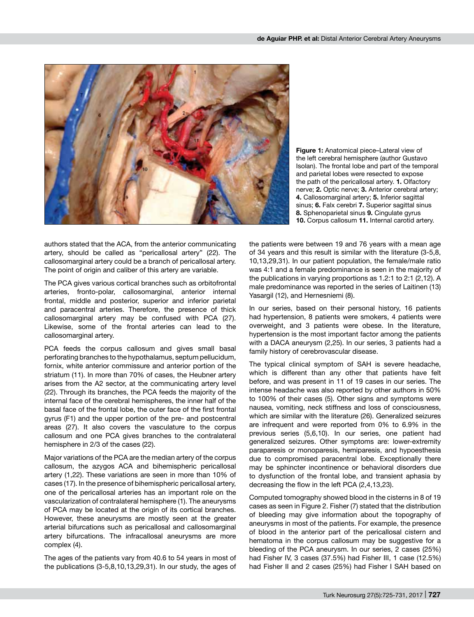

**Figure 1:** Anatomical piece–Lateral view of the left cerebral hemisphere (author Gustavo Isolan). The frontal lobe and part of the temporal and parietal lobes were resected to expose the path of the pericallosal artery. **1.** Olfactory nerve; **2.** Optic nerve; **3.** Anterior cerebral artery; **4.** Callosomarginal artery; **5.** Inferior sagittal sinus; **6.** Falx cerebri **7.** Superior sagittal sinus **8.** Sphenoparietal sinus **9.** Cingulate gyrus **10.** Corpus callosum **11.** Internal carotid artery.

authors stated that the ACA, from the anterior communicating artery, should be called as "pericallosal artery" (22). The callosomarginal artery could be a branch of pericallosal artery. The point of origin and caliber of this artery are variable.

The PCA gives various cortical branches such as orbitofrontal arteries, fronto-polar, callosomarginal, anterior internal frontal, middle and posterior, superior and inferior parietal and paracentral arteries. Therefore, the presence of thick callosomarginal artery may be confused with PCA (27). Likewise, some of the frontal arteries can lead to the callosomarginal artery.

PCA feeds the corpus callosum and gives small basal perforating branches to the hypothalamus, septum pellucidum, fornix, white anterior commissure and anterior portion of the striatum (11). In more than 70% of cases, the Heubner artery arises from the A2 sector, at the communicating artery level (22). Through its branches, the PCA feeds the majority of the internal face of the cerebral hemispheres, the inner half of the basal face of the frontal lobe, the outer face of the first frontal gyrus (F1) and the upper portion of the pre- and postcentral areas (27). It also covers the vasculature to the corpus callosum and one PCA gives branches to the contralateral hemisphere in 2/3 of the cases (22).

Major variations of the PCA are the median artery of the corpus callosum, the azygos ACA and bihemispheric pericallosal artery (1,22). These variations are seen in more than 10% of cases (17). In the presence of bihemispheric pericallosal artery, one of the pericallosal arteries has an important role on the vascularization of contralateral hemisphere (1). The aneurysms of PCA may be located at the origin of its cortical branches. However, these aneurysms are mostly seen at the greater arterial bifurcations such as pericallosal and callosomarginal artery bifurcations. The infracallosal aneurysms are more complex (4).

The ages of the patients vary from 40.6 to 54 years in most of the publications (3-5,8,10,13,29,31). In our study, the ages of the patients were between 19 and 76 years with a mean age of 34 years and this result is similar with the literature (3-5,8, 10,13,29,31). In our patient population, the female/male ratio was 4:1 and a female predominance is seen in the majority of the publications in varying proportions as 1.2:1 to 2:1 (2,12). A male predominance was reported in the series of Laitinen (13) Yasargil (12), and Hernesniemi (8).

In our series, based on their personal history, 16 patients had hypertension, 8 patients were smokers, 4 patients were overweight, and 3 patients were obese. In the literature, hypertension is the most important factor among the patients with a DACA aneurysm (2,25). In our series, 3 patients had a family history of cerebrovascular disease.

The typical clinical symptom of SAH is severe headache, which is different than any other that patients have felt before, and was present in 11 of 19 cases in our series. The intense headache was also reported by other authors in 50% to 100% of their cases (5). Other signs and symptoms were nausea, vomiting, neck stiffness and loss of consciousness, which are similar with the literature (26). Generalized seizures are infrequent and were reported from 0% to 6.9% in the previous series (5,6,10). In our series, one patient had generalized seizures. Other symptoms are: lower-extremity paraparesis or monoparesis, hemiparesis, and hypoesthesia due to compromised paracentral lobe. Exceptionally there may be sphincter incontinence or behavioral disorders due to dysfunction of the frontal lobe, and transient aphasia by decreasing the flow in the left PCA (2,4,13,23).

Computed tomography showed blood in the cisterns in 8 of 19 cases as seen in Figure 2. Fisher (7) stated that the distribution of bleeding may give information about the topography of aneurysms in most of the patients. For example, the presence of blood in the anterior part of the pericallosal cistern and hematoma in the corpus callosum may be suggestive for a bleeding of the PCA aneurysm. In our series, 2 cases (25%) had Fisher IV, 3 cases (37.5%) had Fisher III, 1 case (12.5%) had Fisher II and 2 cases (25%) had Fisher I SAH based on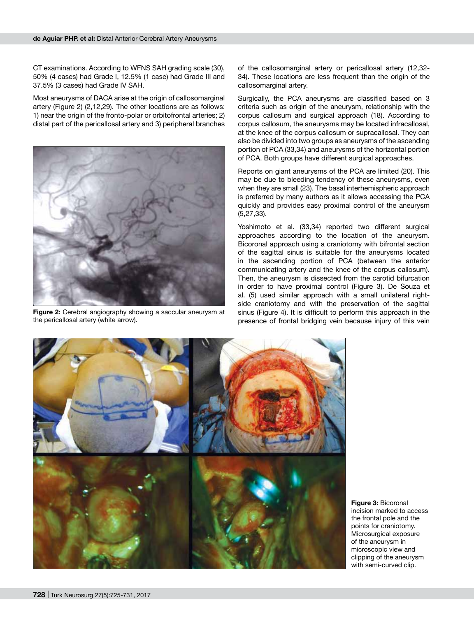CT examinations. According to WFNS SAH grading scale (30), 50% (4 cases) had Grade I, 12.5% (1 case) had Grade III and 37.5% (3 cases) had Grade IV SAH.

Most aneurysms of DACA arise at the origin of callosomarginal artery (Figure 2) (2,12,29). The other locations are as follows: 1) near the origin of the fronto-polar or orbitofrontal arteries; 2) distal part of the pericallosal artery and 3) peripheral branches



**Figure 2:** Cerebral angiography showing a saccular aneurysm at the pericallosal artery (white arrow).

of the callosomarginal artery or pericallosal artery (12,32- 34). These locations are less frequent than the origin of the callosomarginal artery.

Surgically, the PCA aneurysms are classified based on 3 criteria such as origin of the aneurysm, relationship with the corpus callosum and surgical approach (18). According to corpus callosum, the aneurysms may be located infracallosal, at the knee of the corpus callosum or supracallosal. They can also be divided into two groups as aneurysms of the ascending portion of PCA (33,34) and aneurysms of the horizontal portion of PCA. Both groups have different surgical approaches.

Reports on giant aneurysms of the PCA are limited (20). This may be due to bleeding tendency of these aneurysms, even when they are small (23). The basal interhemispheric approach is preferred by many authors as it allows accessing the PCA quickly and provides easy proximal control of the aneurysm (5,27,33).

Yoshimoto et al. (33,34) reported two different surgical approaches according to the location of the aneurysm. Bicoronal approach using a craniotomy with bifrontal section of the sagittal sinus is suitable for the aneurysms located in the ascending portion of PCA (between the anterior communicating artery and the knee of the corpus callosum). Then, the aneurysm is dissected from the carotid bifurcation in order to have proximal control (Figure 3). De Souza et al. (5) used similar approach with a small unilateral rightside craniotomy and with the preservation of the sagittal sinus (Figure 4). It is difficult to perform this approach in the presence of frontal bridging vein because injury of this vein



**Figure 3:** Bicoronal incision marked to access the frontal pole and the points for craniotomy. Microsurgical exposure of the aneurysm in microscopic view and clipping of the aneurysm with semi-curved clip.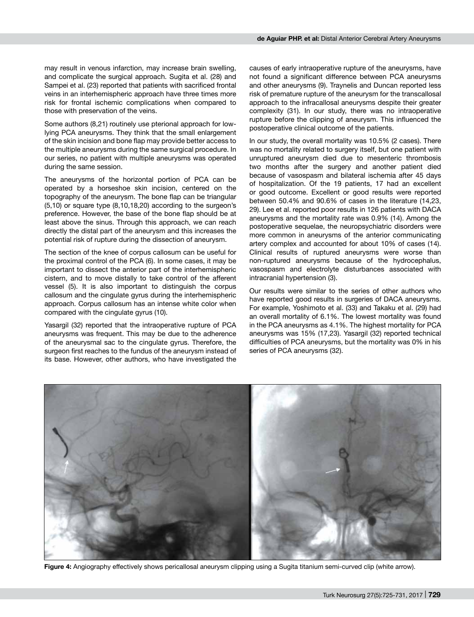may result in venous infarction, may increase brain swelling, and complicate the surgical approach. Sugita et al. (28) and Sampei et al. (23) reported that patients with sacrificed frontal veins in an interhemispheric approach have three times more risk for frontal ischemic complications when compared to those with preservation of the veins.

Some authors (8,21) routinely use pterional approach for lowlying PCA aneurysms. They think that the small enlargement of the skin incision and bone flap may provide better access to the multiple aneurysms during the same surgical procedure. In our series, no patient with multiple aneurysms was operated during the same session.

The aneurysms of the horizontal portion of PCA can be operated by a horseshoe skin incision, centered on the topography of the aneurysm. The bone flap can be triangular (5,10) or square type (8,10,18,20) according to the surgeon's preference. However, the base of the bone flap should be at least above the sinus. Through this approach, we can reach directly the distal part of the aneurysm and this increases the potential risk of rupture during the dissection of aneurysm.

The section of the knee of corpus callosum can be useful for the proximal control of the PCA (6). In some cases, it may be important to dissect the anterior part of the interhemispheric cistern, and to move distally to take control of the afferent vessel (5). It is also important to distinguish the corpus callosum and the cingulate gyrus during the interhemispheric approach. Corpus callosum has an intense white color when compared with the cingulate gyrus (10).

Yasargil (32) reported that the intraoperative rupture of PCA aneurysms was frequent. This may be due to the adherence of the aneurysmal sac to the cingulate gyrus. Therefore, the surgeon first reaches to the fundus of the aneurysm instead of its base. However, other authors, who have investigated the

causes of early intraoperative rupture of the aneurysms, have not found a significant difference between PCA aneurysms and other aneurysms (9). Traynelis and Duncan reported less risk of premature rupture of the aneurysm for the transcallosal approach to the infracallosal aneurysms despite their greater complexity (31). In our study, there was no intraoperative rupture before the clipping of aneurysm. This influenced the postoperative clinical outcome of the patients.

In our study, the overall mortality was 10.5% (2 cases). There was no mortality related to surgery itself, but one patient with unruptured aneurysm died due to mesenteric thrombosis two months after the surgery and another patient died because of vasospasm and bilateral ischemia after 45 days of hospitalization. Of the 19 patients, 17 had an excellent or good outcome. Excellent or good results were reported between 50.4% and 90.6% of cases in the literature (14,23, 29). Lee et al. reported poor results in 126 patients with DACA aneurysms and the mortality rate was 0.9% (14). Among the postoperative sequelae, the neuropsychiatric disorders were more common in aneurysms of the anterior communicating artery complex and accounted for about 10% of cases (14). Clinical results of ruptured aneurysms were worse than non-ruptured aneurysms because of the hydrocephalus, vasospasm and electrolyte disturbances associated with intracranial hypertension (3).

Our results were similar to the series of other authors who have reported good results in surgeries of DACA aneurysms. For example, Yoshimoto et al. (33) and Takaku et al. (29) had an overall mortality of 6.1%. The lowest mortality was found in the PCA aneurysms as 4.1%. The highest mortality for PCA aneurysms was 15% (17,23). Yasargil (32) reported technical difficulties of PCA aneurysms, but the mortality was 0% in his series of PCA aneurysms (32).



**Figure 4:** Angiography effectively shows pericallosal aneurysm clipping using a Sugita titanium semi-curved clip (white arrow).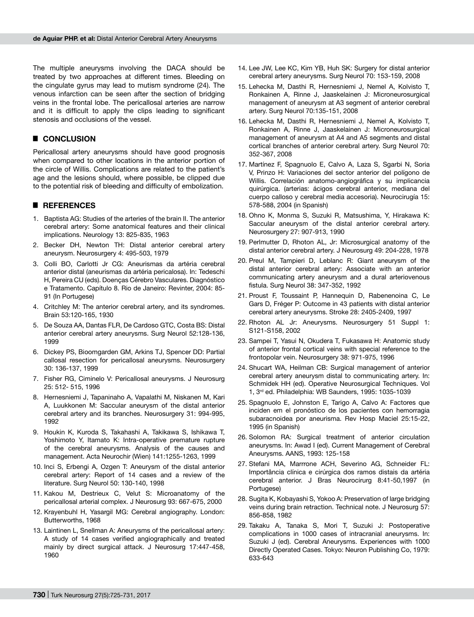The multiple aneurysms involving the DACA should be treated by two approaches at different times. Bleeding on the cingulate gyrus may lead to mutism syndrome (24). The venous infarction can be seen after the section of bridging veins in the frontal lobe. The pericallosal arteries are narrow and it is difficult to apply the clips leading to significant stenosis and occlusions of the vessel.

#### █ **CONCLUSION**

Pericallosal artery aneurysms should have good prognosis when compared to other locations in the anterior portion of the circle of Willis. Complications are related to the patient's age and the lesions should, where possible, be clipped due to the potential risk of bleeding and difficulty of embolization.

#### █ **REFERENCES**

- 1. Baptista AG: Studies of the arteries of the brain II. The anterior cerebral artery: Some anatomical features and their clinical implications. Neurology 13: 825-835, 1963
- 2. Becker DH, Newton TH: Distal anterior cerebral artery aneurysm. Neurosurgery 4: 495-503, 1979
- 3. Colli BO, Carlotti Jr CG: Aneurismas da artéria cerebral anterior distal (aneurismas da artéria pericalosa). In: Tedeschi H, Pereira CU (eds). Doenças Cérebro Vasculares. Diagnóstico e Tratamento. Capítulo 8. Rio de Janeiro: Revinter, 2004: 85- 91 (In Portugese)
- 4. Critchley M: The anterior cerebral artery, and its syndromes. Brain 53:120-165, 1930
- 5. De Souza AA, Dantas FLR, De Cardoso GTC, Costa BS: Distal anterior cerebral artery aneurysms. Surg Neurol 52:128-136, 1999
- 6. Dickey PS, Bioomgarden GM, Arkins TJ, Spencer DD: Partial callosal resection for pericallosal aneurysms. Neurosurgery 30: 136-137, 1999
- 7. Fisher RG, Ciminelo V: Pericallosal aneurysms. J Neurosurg 25: 512- 515, 1996
- 8. Hernesniemi J, Tapaninaho A, Vapalathi M, Niskanen M, Kari A, Luukkonen M: Saccular aneurysm of the distal anterior cerebral artery and its branches. Neurosurgery 31: 994-995, 1992
- 9. Houkin K, Kuroda S, Takahashi A, Takikawa S, Ishikawa T, Yoshimoto Y, Itamato K: Intra-operative premature rupture of the cerebral aneurysms. Analysis of the causes and management. Acta Neurochir (Wien) 141:1255-1263, 1999
- 10. Inci S, Erbengi A, Ozgen T: Aneurysm of the distal anterior cerebral artery: Report of 14 cases and a review of the literature. Surg Neurol 50: 130-140, 1998
- 11. Kakou M, Destrieux C, Velut S: Microanatomy of the pericallosal arterial complex. J Neurosurg 93: 667-675, 2000
- 12. Krayenbuhl H, Yasargil MG: Cerebral angiography. London: Butterworths, 1968
- 13. Laintinen L, Snellman A: Aneurysms of the pericallosal artery: A study of 14 cases verified angiographically and treated mainly by direct surgical attack. J Neurosurg 17:447-458, 1960
- 14. Lee JW, Lee KC, Kim YB, Huh SK: Surgery for distal anterior cerebral artery aneurysms. Surg Neurol 70: 153-159, 2008
- 15. Lehecka M, Dasthi R, Hernesniemi J, Nemel A, Kolvisto T, Ronkainen A, Rinne J, Jaaskelainen J: Microneurosurgical management of aneurysm at A3 segment of anterior cerebral artery. Surg Neurol 70:135-151, 2008
- 16. Lehecka M, Dasthi R, Hernesniemi J, Nemel A, Kolvisto T, Ronkainen A, Rinne J, Jaaskelainen J: Microneurosurgical management of aneurysm at A4 and A5 segments and distal cortical branches of anterior cerebral artery. Surg Neurol 70: 352-367, 2008
- 17. Martínez F, Spagnuolo E, Calvo A, Laza S, Sgarbi N, Soria V, Prinzo H: Variaciones del sector anterior del polígono de Willis. Correlación anatomo-angiográfica y su implicancia quirúrgica. (arterias: ácigos cerebral anterior, mediana del cuerpo calloso y cerebral media accesoria). Neurocirugía 15: 578-588, 2004 (in Spanish)
- 18. Ohno K, Monma S, Suzuki R, Matsushima, Y, Hirakawa K: Saccular aneurysm of the distal anterior cerebral artery. Neurosurgery 27: 907-913, 1990
- 19. Perlmutter D, Rhoton AL, Jr: Microsurgical anatomy of the distal anterior cerebral artery. J Neurosurg 49: 204-228, 1978
- 20. Preul M, Tampieri D, Leblanc R: Giant aneurysm of the distal anterior cerebral artery: Associate with an anterior communicating artery aneurysm and a dural arteriovenous fistula. Surg Neurol 38: 347-352, 1992
- 21. Proust F, Toussaint P, Hannequin D, Rabenenoina C, Le Gars D, Fréger P: Outcome in 43 patients with distal anterior cerebral artery aneurysms. Stroke 28: 2405-2409, 1997
- 22. Rhoton AL Jr: Aneurysms. Neurosurgery 51 Suppl 1: S121-S158, 2002
- 23. Sampei T, Yasui N, Okudera T, Fukasawa H: Anatomic study of anterior frontal cortical veins with special reference to the frontopolar vein. Neurosurgery 38: 971-975, 1996
- 24. Shucart WA, Heilman CB: Surgical management of anterior cerebral artery aneurysm distal to communicating artery. In: Schmidek HH (ed). Operative Neurosurgical Techniques. Vol 1, 3rd ed. Philadelphia: WB Saunders, 1995: 1035-1039
- 25. Spagnuolo E, Johnston E, Tarigo A, Calvo A: Factores que inciden em el pronóstico de los pacientes con hemorragia subaracnoidea por aneurisma. Rev Hosp Maciel 25:15-22, 1995 (in Spanish)
- 26. Solomon RA: Surgical treatment of anterior circulation aneurysms. In: Awad I (ed). Current Management of Cerebral Aneurysms. AANS, 1993: 125-158
- 27. Stefani MA, Marrrone ACH, Severino AG, Schneider FL: Importância clínica e cirúrgica dos ramos distais da artéria cerebral anterior. J Bras Neurocirurg 8:41-50,1997 (in Portugese)
- 28. Sugita K, Kobayashi S, Yokoo A: Preservation of large bridging veins during brain retraction. Technical note. J Neurosurg 57: 856-858, 1982
- 29. Takaku A, Tanaka S, Mori T, Suzuki J: Postoperative complications in 1000 cases of intracranial aneurysms. In: Suzuki J (ed). Cerebral Aneurysms. Experiences with 1000 Directly Operated Cases. Tokyo: Neuron Publishing Co, 1979: 633-643